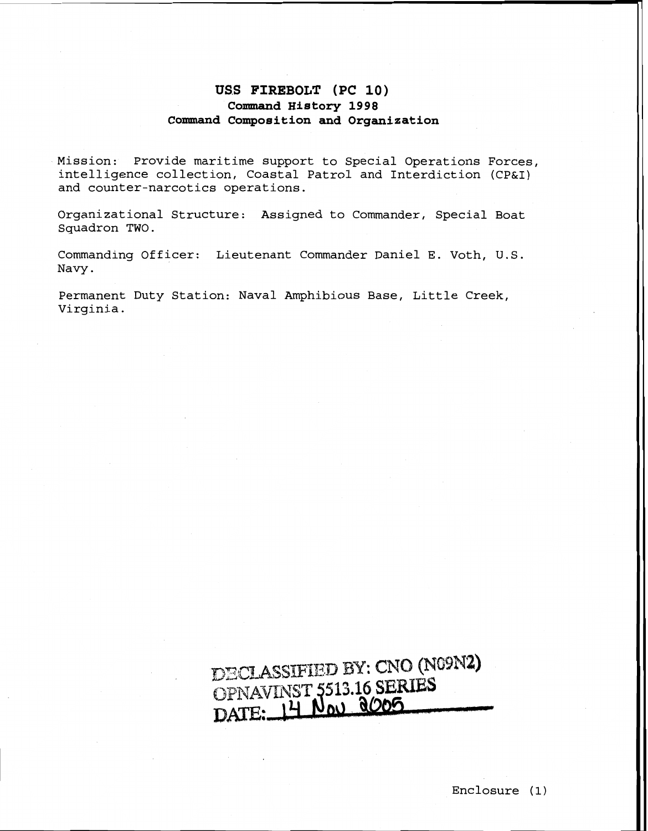## **USS FIREBOLT (PC 10) Command History 1998 Command Composition and Organization**

Mission: Provide maritime support to Special Operations Forces, intelligence collection, Coastal Patrol and Interdiction (CP&I) and counter-narcotics operations.

Organizational Structure: Assigned to Commander, Special Boat Squadron TWO.

Commanding Officer: Lieutenant Commander Daniel E. Voth, U.S. Navy.

Permanent Duty Station: Naval Amphibious Base, Little Creek, Virginia.

## DECLASSIFIED BY: CNO (N09N2) DECLASSIFIED B1. CROWNST<br>OPNAVINST 5513.16 SERIES<br>DATE: 14 Nov 8005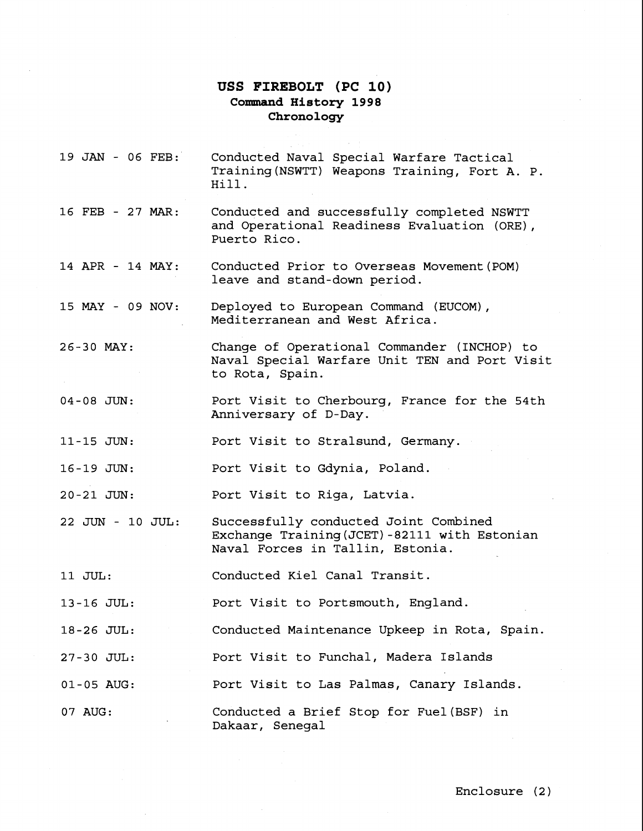## **USS FIREBOLT (PC 10) Command History 1998 Chronology**

Conducted Naval Special Warfare Tactical

19 JAN - 06 FEB:

16 FEB - 27 MAR: 14 APR - 14 MAY: 15 MAY - 09 NOV: 26-30 MAY: 04-08 JUN: 11-15 JUN: 16-19 JUN:  $20 - 21$  JUN: 22 JUN - 10 JUL: 11 JUL: 13-16 JUL: 18-26 JUL: 27-30 JUL: 01-05 AUG: 07 AUG: Training (NSWTT) Weapons Training, Fort A. P. Hill. Conducted and successfully completed NSWTT and Operational Readiness Evaluation (ORE), Puerto Rico. Conducted Prior to Overseas Movement(P0M) leave and stand-down period. Deployed to European Command (EUCOM), Mediterranean and West Africa. Change of Operational Commander (INCHOP) to Naval Special Warfare Unit TEN and Port Visit to Rota, Spain. Port Visit to Cherbourg, France for the 54th Anniversary of D-Day. Port Visit to Stralsund, Germany. Port Visit to Gdynia, Poland. Port Visit to Riga, Latvia. Successfully conducted Joint Combined Exchange Training(JCET) -82111 with Estonian Naval Forces in Tallin, Estonia. Conducted Kiel Canal Transit. Port Visit to Portsmouth, England. Conducted Maintenance Upkeep in Rota, Spain. Port Visit to Funchal, Madera Islands Port Visit to Las Palmas, Canary Islands. Conducted a Brief Stop for Fuel (BSF) in Dakaar, Senegal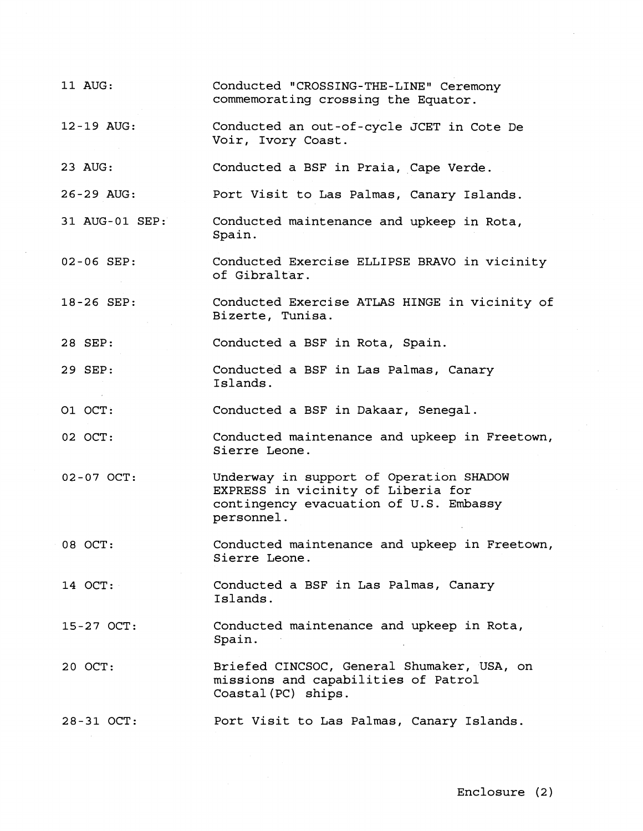| 11 AUG:        | Conducted "CROSSING-THE-LINE" Ceremony<br>commemorating crossing the Equator.                                                         |
|----------------|---------------------------------------------------------------------------------------------------------------------------------------|
| 12-19 AUG:     | Conducted an out-of-cycle JCET in Cote De<br>Voir, Ivory Coast.                                                                       |
| 23 AUG:        | Conducted a BSF in Praia, Cape Verde.                                                                                                 |
| 26-29 AUG:     | Port Visit to Las Palmas, Canary Islands.                                                                                             |
| 31 AUG-01 SEP: | Conducted maintenance and upkeep in Rota,<br>Spain.                                                                                   |
| 02-06 SEP:     | Conducted Exercise ELLIPSE BRAVO in vicinity<br>of Gibraltar.                                                                         |
| 18-26 SEP:     | Conducted Exercise ATLAS HINGE in vicinity of<br>Bizerte, Tunisa.                                                                     |
| 28 SEP:        | Conducted a BSF in Rota, Spain.                                                                                                       |
| 29 SEP:        | Conducted a BSF in Las Palmas, Canary<br>Islands.                                                                                     |
| O1 OCT:        | Conducted a BSF in Dakaar, Senegal.                                                                                                   |
| 02 OCT:        | Conducted maintenance and upkeep in Freetown,<br>Sierre Leone.                                                                        |
| 02-07 OCT:     | Underway in support of Operation SHADOW<br>EXPRESS in vicinity of Liberia for<br>contingency evacuation of U.S. Embassy<br>personnel. |
| 08 OCT:        | Conducted maintenance and upkeep in Freetown,<br>Sierre Leone.                                                                        |
| 14 OCT:        | Conducted a BSF in Las Palmas, Canary<br>Islands.                                                                                     |
| 15-27 OCT:     | Conducted maintenance and upkeep in Rota,<br>Spain.                                                                                   |
| 20 OCT:        | Briefed CINCSOC, General Shumaker, USA, on<br>missions and capabilities of Patrol<br>Coastal (PC) ships.                              |
| 28-31 OCT:     | Port Visit to Las Palmas, Canary Islands.                                                                                             |

Enclosure (2)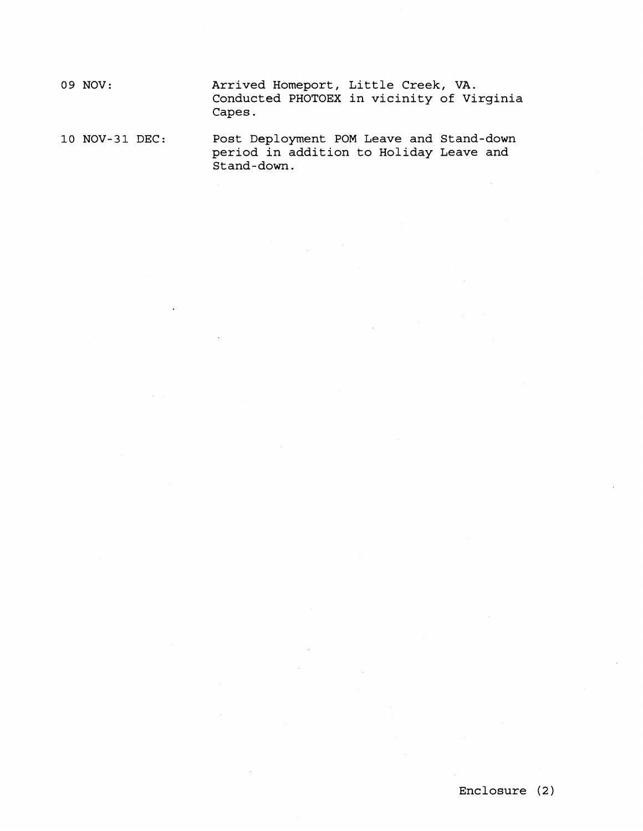**09 NOV: Arrived Homeport, Little Creek, VA. Conducted PHOTOEX in vicinity of Virginia Capes.** 

**10 NOV-31 DEC: Post Deployment POM Leave and Stand-down period in addition to Holiday Leave and Stand-down.**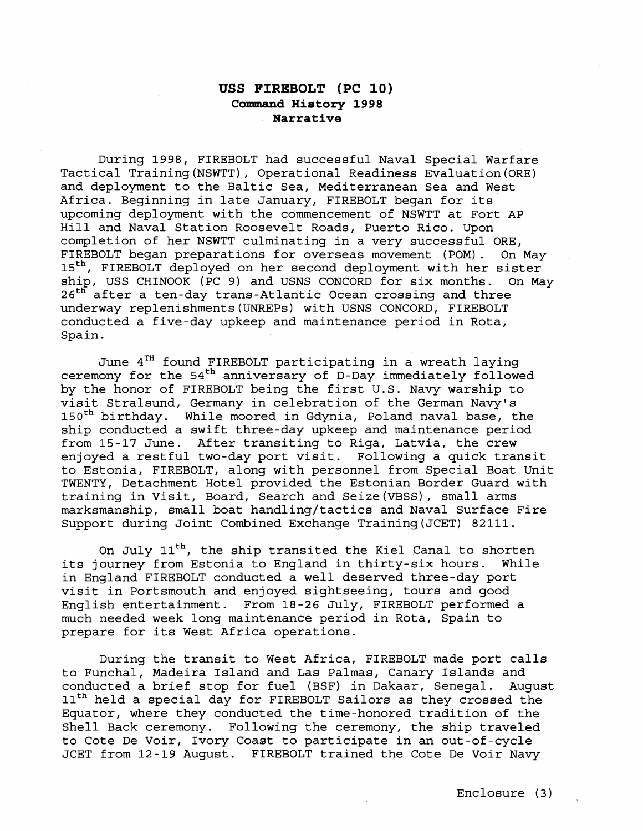## **USS FIREBOLT (PC 10) Command History 1998 Narrative**

During 1998, FIREBOLT had successful Naval Special Warfare Tactical Training(NSWTT), Operational Readiness Evaluation(0RE) and deployment to the Baltic Sea, Mediterranean Sea and West Africa. Beginning in late January, FIREBOLT began for its upcoming deployment with the commencement of NSWTT at Fort AP Hill and Naval Station Roosevelt Roads, Puerto Rico. Upon completion of her NSWTT culminating in a very successful ORE, FIREBOLT began preparations for overseas movement (POM). On May 15<sup>th</sup>, FIREBOLT deployed on her second deployment with her sister ship, USS CHINOOK (PC 9) and USNS CONCORD for six months. On May 26<sup>th</sup> after a ten-day trans-Atlantic Ocean crossing and three underway replenishments(UNREPs) with USNS CONCORD, FIREBOLT conducted a five-day upkeep and maintenance period in Rota, Spain.

June 4TH found FIREBOLT participating in a wreath laying ceremony for the  $54<sup>th</sup>$  anniversary of D-Day immediately followed by the honor of FIREBOLT being the first U.S. Navy warship to visit Stralsund, Germany in celebration of the German Navy's 150<sup>th</sup> birthday. While moored in Gdynia, Poland naval base, the ship conducted a swift three-day upkeep and maintenance period from 15-17 June. After transiting to Riga, Latvia, the crew enjoyed a restful two-day port visit. Following a quick transit to Estonia, FIREBOLT, along with personnel from Special Boat Unit TWENTY, Detachment Hotel provided the Estonian Border Guard with training in Visit, Board, Search and Seize(VBSS), small arms marksmanship, small boat handling/tactics and Naval Surface Fire Support during Joint Combined Exchange Training(JCET) 82111.

On July 11<sup>th</sup>, the ship transited the Kiel Canal to shorten its journey from Estonia to England in thirty-six hours. While in England FIREBOLT conducted a well deserved three-day port visit in Portsmouth and enjoyed sightseeing, tours and good English entertainment. From 18-26 July, FIREBOLT performed a much needed week long maintenance period in Rota, Spain to prepare for its West Africa operations.

During the transit to West Africa, FIREBOLT made port calls to Funchal, Madeira Island and Las Palmas, Canary Islands and conducted a brief stop for fuel (BSF) in Dakaar, Senegal. August 11<sup>th</sup> held a special day for FIREBOLT Sailors as they crossed the Equator, where they conducted the time-honored tradition of the Shell Back ceremony. Following the ceremony, the ship traveled to Cote De Voir, Ivory Coast to participate in an out-of-cycle JCET from 12-19 August. FIREBOLT trained the Cote De Voir Navy